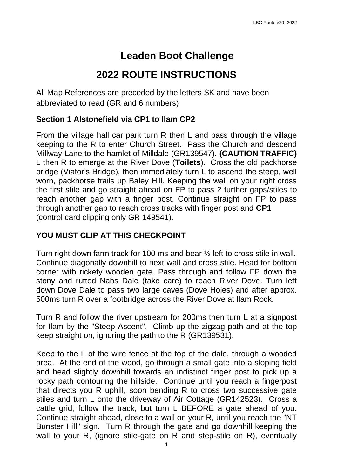# **Leaden Boot Challenge**

## **2022 ROUTE INSTRUCTIONS**

All Map References are preceded by the letters SK and have been abbreviated to read (GR and 6 numbers)

### **Section 1 Alstonefield via CP1 to Ilam CP2**

From the village hall car park turn R then L and pass through the village keeping to the R to enter Church Street. Pass the Church and descend Millway Lane to the hamlet of Milldale (GR139547). **(CAUTION TRAFFIC)** L then R to emerge at the River Dove (**Toilets**). Cross the old packhorse bridge (Viator's Bridge), then immediately turn L to ascend the steep, well worn, packhorse trails up Baley Hill. Keeping the wall on your right cross the first stile and go straight ahead on FP to pass 2 further gaps/stiles to reach another gap with a finger post. Continue straight on FP to pass through another gap to reach cross tracks with finger post and **CP1** (control card clipping only GR 149541).

### **YOU MUST CLIP AT THIS CHECKPOINT**

Turn right down farm track for 100 ms and bear ½ left to cross stile in wall. Continue diagonally downhill to next wall and cross stile. Head for bottom corner with rickety wooden gate. Pass through and follow FP down the stony and rutted Nabs Dale (take care) to reach River Dove. Turn left down Dove Dale to pass two large caves (Dove Holes) and after approx. 500ms turn R over a footbridge across the River Dove at Ilam Rock.

Turn R and follow the river upstream for 200ms then turn L at a signpost for Ilam by the "Steep Ascent". Climb up the zigzag path and at the top keep straight on, ignoring the path to the R (GR139531).

Keep to the L of the wire fence at the top of the dale, through a wooded area. At the end of the wood, go through a small gate into a sloping field and head slightly downhill towards an indistinct finger post to pick up a rocky path contouring the hillside. Continue until you reach a fingerpost that directs you R uphill, soon bending R to cross two successive gate stiles and turn L onto the driveway of Air Cottage (GR142523). Cross a cattle grid, follow the track, but turn L BEFORE a gate ahead of you. Continue straight ahead, close to a wall on your R, until you reach the "NT Bunster Hill" sign. Turn R through the gate and go downhill keeping the wall to your R, (ignore stile-gate on R and step-stile on R), eventually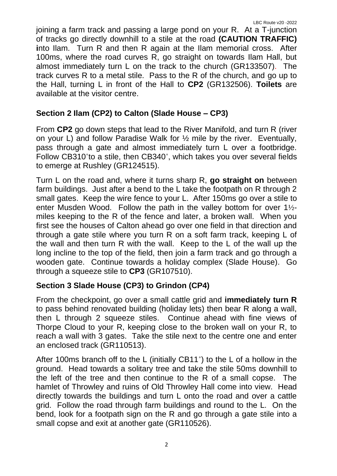joining a farm track and passing a large pond on your R. At a T-junction of tracks go directly downhill to a stile at the road **(CAUTION TRAFFIC) i**nto Ilam. Turn R and then R again at the Ilam memorial cross. After 100ms, where the road curves R, go straight on towards Ilam Hall, but almost immediately turn L on the track to the church (GR133507). The track curves R to a metal stile. Pass to the R of the church, and go up to the Hall, turning L in front of the Hall to **CP2** (GR132506). **Toilets** are available at the visitor centre.

### **Section 2 Ilam (CP2) to Calton (Slade House – CP3)**

From **CP2** go down steps that lead to the River Manifold, and turn R (river on your L) and follow Paradise Walk for ½ mile by the river. Eventually, pass through a gate and almost immediately turn L over a footbridge. Follow CB310˚to a stile, then CB340˚, which takes you over several fields to emerge at Rushley (GR124515).

Turn L on the road and, where it turns sharp R, **go straight on** between farm buildings. Just after a bend to the L take the footpath on R through 2 small gates. Keep the wire fence to your L. After 150ms go over a stile to enter Musden Wood. Follow the path in the valley bottom for over 1½ miles keeping to the R of the fence and later, a broken wall. When you first see the houses of Calton ahead go over one field in that direction and through a gate stile where you turn R on a soft farm track, keeping L of the wall and then turn R with the wall. Keep to the L of the wall up the long incline to the top of the field, then join a farm track and go through a wooden gate. Continue towards a holiday complex (Slade House). Go through a squeeze stile to **CP3** (GR107510).

### **Section 3 Slade House (CP3) to Grindon (CP4)**

From the checkpoint, go over a small cattle grid and **immediately turn R** to pass behind renovated building (holiday lets) then bear R along a wall, then L through 2 squeeze stiles. Continue ahead with fine views of Thorpe Cloud to your R, keeping close to the broken wall on your R, to reach a wall with 3 gates. Take the stile next to the centre one and enter an enclosed track (GR110513).

After 100ms branch off to the L (initially CB11˚) to the L of a hollow in the ground. Head towards a solitary tree and take the stile 50ms downhill to the left of the tree and then continue to the R of a small copse. The hamlet of Throwley and ruins of Old Throwley Hall come into view. Head directly towards the buildings and turn L onto the road and over a cattle grid. Follow the road through farm buildings and round to the L. On the bend, look for a footpath sign on the R and go through a gate stile into a small copse and exit at another gate (GR110526).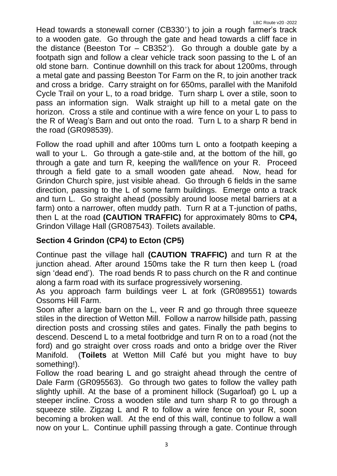Head towards a stonewall corner (CB330˚) to join a rough farmer's track to a wooden gate. Go through the gate and head towards a cliff face in the distance (Beeston Tor – CB352˚). Go through a double gate by a footpath sign and follow a clear vehicle track soon passing to the L of an old stone barn. Continue downhill on this track for about 1200ms, through a metal gate and passing Beeston Tor Farm on the R, to join another track and cross a bridge. Carry straight on for 650ms, parallel with the Manifold Cycle Trail on your L, to a road bridge. Turn sharp L over a stile, soon to pass an information sign. Walk straight up hill to a metal gate on the horizon. Cross a stile and continue with a wire fence on your L to pass to the R of Weag's Barn and out onto the road. Turn L to a sharp R bend in the road (GR098539).

Follow the road uphill and after 100ms turn L onto a footpath keeping a wall to your L. Go through a gate-stile and, at the bottom of the hill, go through a gate and turn R, keeping the wall/fence on your R. Proceed through a field gate to a small wooden gate ahead. Now, head for Grindon Church spire, just visible ahead. Go through 6 fields in the same direction, passing to the L of some farm buildings. Emerge onto a track and turn L. Go straight ahead (possibly around loose metal barriers at a farm) onto a narrower, often muddy path. Turn R at a T-junction of paths, then L at the road **(CAUTION TRAFFIC)** for approximately 80ms to **CP4,** Grindon Village Hall (GR087543). Toilets available.

### **Section 4 Grindon (CP4) to Ecton (CP5)**

Continue past the village hall **(CAUTION TRAFFIC)** and turn R at the junction ahead. After around 150ms take the R turn then keep L (road sign 'dead end'). The road bends R to pass church on the R and continue along a farm road with its surface progressively worsening.

As you approach farm buildings veer L at fork (GR089551) towards Ossoms Hill Farm.

Soon after a large barn on the L, veer R and go through three squeeze stiles in the direction of Wetton Mill. Follow a narrow hillside path, passing direction posts and crossing stiles and gates. Finally the path begins to descend. Descend L to a metal footbridge and turn R on to a road (not the ford) and go straight over cross roads and onto a bridge over the River Manifold. (**Toilets** at Wetton Mill Café but you might have to buy something!).

Follow the road bearing L and go straight ahead through the centre of Dale Farm (GR095563). Go through two gates to follow the valley path slightly uphill. At the base of a prominent hillock (Sugarloaf) go L up a steeper incline. Cross a wooden stile and turn sharp R to go through a squeeze stile. Zigzag L and R to follow a wire fence on your R, soon becoming a broken wall. At the end of this wall, continue to follow a wall now on your L. Continue uphill passing through a gate. Continue through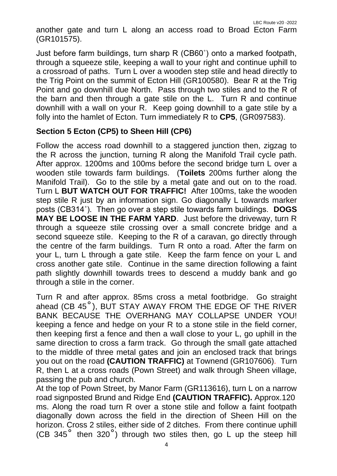another gate and turn L along an access road to Broad Ecton Farm (GR101575).

Just before farm buildings, turn sharp R (CB60˚) onto a marked footpath, through a squeeze stile, keeping a wall to your right and continue uphill to a crossroad of paths. Turn L over a wooden step stile and head directly to the Trig Point on the summit of Ecton Hill (GR100580). Bear R at the Trig Point and go downhill due North. Pass through two stiles and to the R of the barn and then through a gate stile on the L. Turn R and continue downhill with a wall on your R. Keep going downhill to a gate stile by a folly into the hamlet of Ecton. Turn immediately R to **CP5**, (GR097583).

### **Section 5 Ecton (CP5) to Sheen Hill (CP6)**

Follow the access road downhill to a staggered junction then, zigzag to the R across the junction, turning R along the Manifold Trail cycle path. After approx. 1200ms and 100ms before the second bridge turn L over a wooden stile towards farm buildings. (**Toilets** 200ms further along the Manifold Trail). Go to the stile by a metal gate and out on to the road. Turn L **BUT WATCH OUT FOR TRAFFIC!** After 100ms, take the wooden step stile R just by an information sign. Go diagonally L towards marker posts (CB314˚). Then go over a step stile towards farm buildings. **DOGS MAY BE LOOSE IN THE FARM YARD**. Just before the driveway, turn R through a squeeze stile crossing over a small concrete bridge and a second squeeze stile. Keeping to the R of a caravan, go directly through the centre of the farm buildings. Turn R onto a road. After the farm on your L, turn L through a gate stile. Keep the farm fence on your L and cross another gate stile. Continue in the same direction following a faint path slightly downhill towards trees to descend a muddy bank and go through a stile in the corner.

Turn R and after approx. 85ms cross a metal footbridge. Go straight ahead (CB 45˚), BUT STAY AWAY FROM THE EDGE OF THE RIVER BANK BECAUSE THE OVERHANG MAY COLLAPSE UNDER YOU! keeping a fence and hedge on your R to a stone stile in the field corner, then keeping first a fence and then a wall close to your L, go uphill in the same direction to cross a farm track. Go through the small gate attached to the middle of three metal gates and join an enclosed track that brings you out on the road **(CAUTION TRAFFIC)** at Townend (GR107606). Turn R, then L at a cross roads (Pown Street) and walk through Sheen village, passing the pub and church.

At the top of Pown Street, by Manor Farm (GR113616), turn L on a narrow road signposted Brund and Ridge End **(CAUTION TRAFFIC).** Approx.120 ms. Along the road turn R over a stone stile and follow a faint footpath diagonally down across the field in the direction of Sheen Hill on the horizon. Cross 2 stiles, either side of 2 ditches. From there continue uphill (CB 345 $^{\circ}$  then 320 $^{\circ}$ ) through two stiles then, go L up the steep hill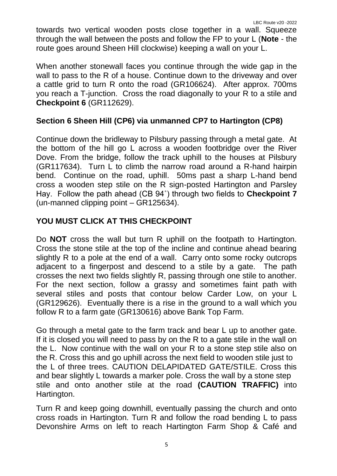towards two vertical wooden posts close together in a wall. Squeeze through the wall between the posts and follow the FP to your L (**Note** - the route goes around Sheen Hill clockwise) keeping a wall on your L.

When another stonewall faces you continue through the wide gap in the wall to pass to the R of a house. Continue down to the driveway and over a cattle grid to turn R onto the road (GR106624). After approx. 700ms you reach a T-junction. Cross the road diagonally to your R to a stile and **Checkpoint 6** (GR112629).

### **Section 6 Sheen Hill (CP6) via unmanned CP7 to Hartington (CP8)**

Continue down the bridleway to Pilsbury passing through a metal gate. At the bottom of the hill go L across a wooden footbridge over the River Dove. From the bridge, follow the track uphill to the houses at Pilsbury (GR117634). Turn L to climb the narrow road around a R-hand hairpin bend. Continue on the road, uphill. 50ms past a sharp L-hand bend cross a wooden step stile on the R sign-posted Hartington and Parsley Hay. Follow the path ahead (CB 94˚) through two fields to **Checkpoint 7**  (un-manned clipping point – GR125634).

### **YOU MUST CLICK AT THIS CHECKPOINT**

Do **NOT** cross the wall but turn R uphill on the footpath to Hartington. Cross the stone stile at the top of the incline and continue ahead bearing slightly R to a pole at the end of a wall. Carry onto some rocky outcrops adjacent to a fingerpost and descend to a stile by a gate. The path crosses the next two fields slightly R, passing through one stile to another. For the next section, follow a grassy and sometimes faint path with several stiles and posts that contour below Carder Low, on your L (GR129626). Eventually there is a rise in the ground to a wall which you follow R to a farm gate (GR130616) above Bank Top Farm.

Go through a metal gate to the farm track and bear L up to another gate. If it is closed you will need to pass by on the R to a gate stile in the wall on the L. Now continue with the wall on your R to a stone step stile also on the R. Cross this and go uphill across the next field to wooden stile just to the L of three trees. CAUTION DELAPIDATED GATE/STILE. Cross this and bear slightly L towards a marker pole. Cross the wall by a stone step stile and onto another stile at the road **(CAUTION TRAFFIC)** into Hartington.

Turn R and keep going downhill, eventually passing the church and onto cross roads in Hartington. Turn R and follow the road bending L to pass Devonshire Arms on left to reach Hartington Farm Shop & Café and